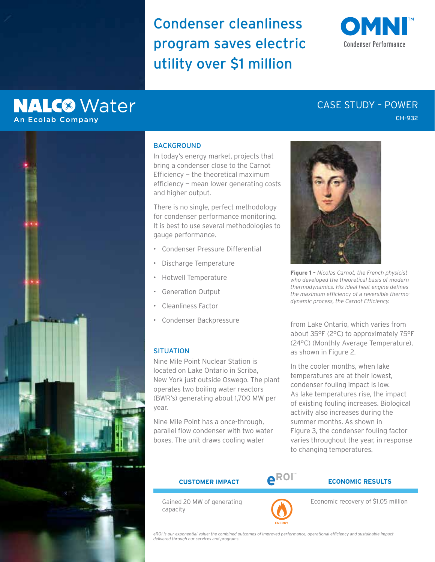Condenser cleanliness program saves electric utility over \$1 million



# **NALC<sup>®</sup>** Water **An Ecolab Company**

## CH-932 CASE STUDY – POWER



### **BACKGROUND**

In today's energy market, projects that bring a condenser close to the Carnot Efficiency — the theoretical maximum efficiency — mean lower generating costs and higher output.

There is no single, perfect methodology for condenser performance monitoring. It is best to use several methodologies to gauge performance.

- Condenser Pressure Differential
- Discharge Temperature
- Hotwell Temperature
- Generation Output
- Cleanliness Factor
- Condenser Backpressure

### **SITUATION**

Nine Mile Point Nuclear Station is located on Lake Ontario in Scriba, New York just outside Oswego. The plant operates two boiling water reactors (BWR's) generating about 1,700 MW per year.

Nine Mile Point has a once-through, parallel flow condenser with two water boxes. The unit draws cooling water



**Figure 1 –** *Nicolas Carnot, the French physicist who developed the theoretical basis of modern thermodynamics. His ideal heat engine defines the maximum efficiency of a reversible thermodynamic process, the Carnot Efficiency.*

from Lake Ontario, which varies from about 35°F (2°C) to approximately 75°F (24°C) (Monthly Average Temperature), as shown in Figure 2.

In the cooler months, when lake temperatures are at their lowest, condenser fouling impact is low. As lake temperatures rise, the impact of existing fouling increases. Biological activity also increases during the summer months. As shown in Figure 3, the condenser fouling factor varies throughout the year, in response to changing temperatures.

Gained 20 MW of generating capacity



**ENERGY**

### **CUSTOMER IMPACT eROI ECONOMIC RESULTS**

Economic recovery of \$1.05 million

*eROI is our exponential value: the combined outcomes of improved performance, operational efficiency and sustainable impact delivered through our services and programs.*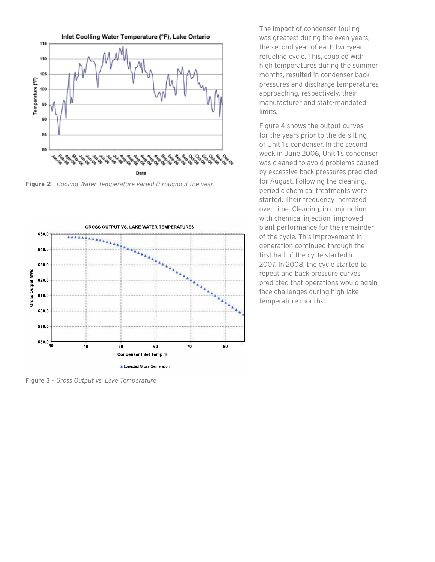

**Figure 2** *– Cooling Water Temperature varied throughout the year.*



Figure 3 – *Gross Output vs. Lake Temperature*

The impact of condenser fouling was greatest during the even years, the second year of each two-year refueling cycle. This, coupled with high temperatures during the summer months, resulted in condenser back pressures and discharge temperatures approaching, respectively, their manufacturer and state-mandated limits.

Figure 4 shows the output curves for the years prior to the de-silting of Unit 1's condenser. In the second week in June 2006, Unit 1's condenser was cleaned to avoid problems caused by excessive back pressures predicted for August. Following the cleaning, periodic chemical treatments were started. Their frequency increased over time. Cleaning, in conjunction with chemical injection, improved plant performance for the remainder of the cycle. This improvement in generation continued through the first half of the cycle started in 2007. In 2008, the cycle started to repeat and back pressure curves predicted that operations would again face challenges during high lake temperature months.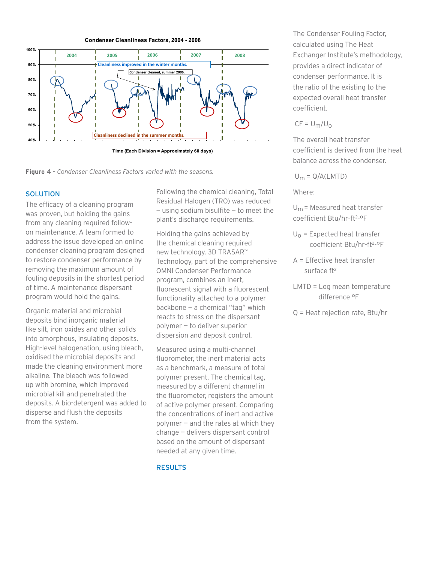



**Figure 4** *– Condenser Cleanliness Factors varied with the seasons.*

### SOLUTION

The efficacy of a cleaning program was proven, but holding the gains from any cleaning required followon maintenance. A team formed to address the issue developed an online condenser cleaning program designed to restore condenser performance by removing the maximum amount of fouling deposits in the shortest period of time. A maintenance dispersant program would hold the gains.

Organic material and microbial deposits bind inorganic material like silt, iron oxides and other solids into amorphous, insulating deposits. High-level halogenation, using bleach, oxidised the microbial deposits and made the cleaning environment more alkaline. The bleach was followed up with bromine, which improved microbial kill and penetrated the deposits. A bio-detergent was added to disperse and flush the deposits from the system.

Following the chemical cleaning, Total Residual Halogen (TRO) was reduced  $-$  using sodium bisulfite  $-$  to meet the plant's discharge requirements.

Holding the gains achieved by the chemical cleaning required new technology. 3D TRASAR™ Technology, part of the comprehensive OMNI Condenser Performance program, combines an inert, fluorescent signal with a fluorescent functionality attached to a polymer backbone — a chemical "tag" which reacts to stress on the dispersant polymer — to deliver superior dispersion and deposit control.

Measured using a multi-channel fluorometer, the inert material acts as a benchmark, a measure of total polymer present. The chemical tag, measured by a different channel in the fluorometer, registers the amount of active polymer present. Comparing the concentrations of inert and active polymer — and the rates at which they change — delivers dispersant control based on the amount of dispersant needed at any given time.

### **RESULTS**

The Condenser Fouling Factor, calculated using The Heat Exchanger Institute's methodology, provides a direct indicator of condenser performance. It is the ratio of the existing to the expected overall heat transfer coefficient.

### $CF = U_m/U_0$

The overall heat transfer coefficient is derived from the heat balance across the condenser.

 $U_m = Q/A(LMTD)$ 

Where:

 $U_m$  = Measured heat transfer coefficient Btu/hr-ft<sup>2</sup>-°F

- $U_{\rm O}$  = Expected heat transfer coefficient Btu/hr-ft<sup>2</sup>-°F
- A = Effective heat transfer surface ft<sup>2</sup>
- LMTD = Log mean temperature difference °F
- Q = Heat rejection rate, Btu/hr